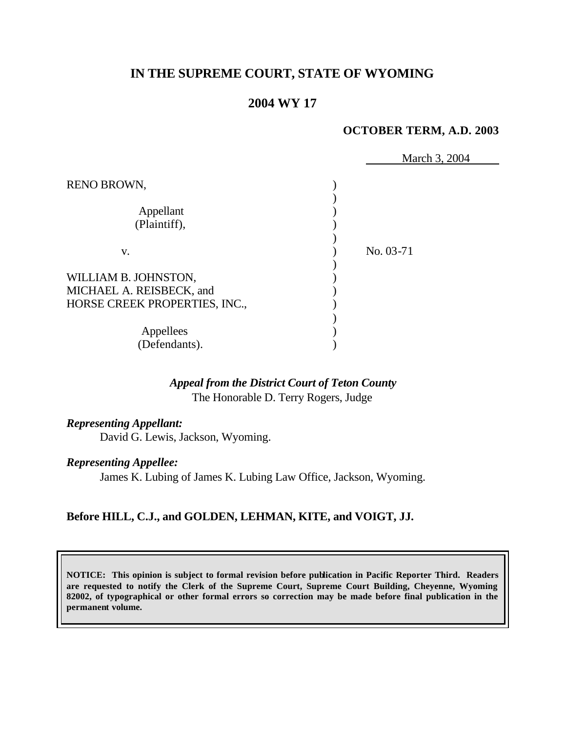# **IN THE SUPREME COURT, STATE OF WYOMING**

# **2004 WY 17**

#### **OCTOBER TERM, A.D. 2003**

|                               | March 3, 2004 |
|-------------------------------|---------------|
| RENO BROWN,                   |               |
|                               |               |
| Appellant                     |               |
| (Plaintiff),                  |               |
|                               |               |
| V.                            | No. 03-71     |
|                               |               |
| WILLIAM B. JOHNSTON,          |               |
| MICHAEL A. REISBECK, and      |               |
| HORSE CREEK PROPERTIES, INC., |               |
|                               |               |
| Appellees                     |               |
| (Defendants).                 |               |

# *Appeal from the District Court of Teton County* The Honorable D. Terry Rogers, Judge

### *Representing Appellant:*

David G. Lewis, Jackson, Wyoming.

#### *Representing Appellee:*

James K. Lubing of James K. Lubing Law Office, Jackson, Wyoming.

# **Before HILL, C.J., and GOLDEN, LEHMAN, KITE, and VOIGT, JJ.**

**NOTICE: This opinion is subject to formal revision before publication in Pacific Reporter Third. Readers are requested to notify the Clerk of the Supreme Court, Supreme Court Building, Cheyenne, Wyoming 82002, of typographical or other formal errors so correction may be made before final publication in the permanent volume.**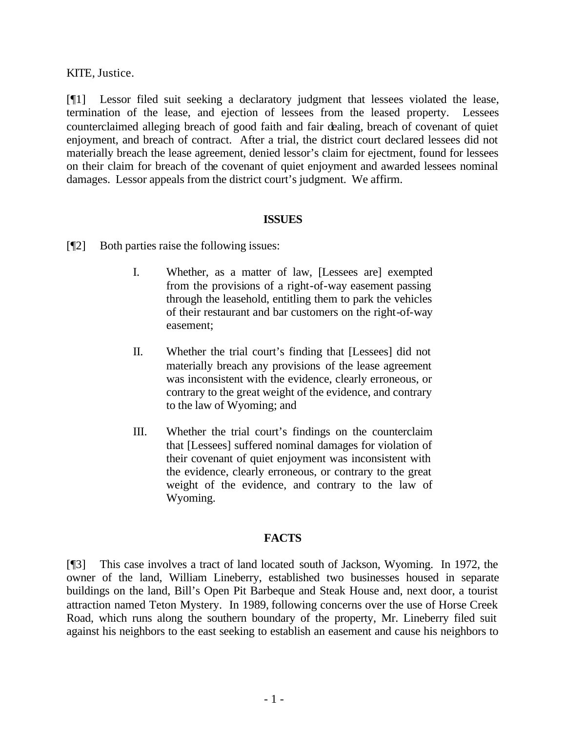KITE, Justice.

[¶1] Lessor filed suit seeking a declaratory judgment that lessees violated the lease, termination of the lease, and ejection of lessees from the leased property. Lessees counterclaimed alleging breach of good faith and fair dealing, breach of covenant of quiet enjoyment, and breach of contract. After a trial, the district court declared lessees did not materially breach the lease agreement, denied lessor's claim for ejectment, found for lessees on their claim for breach of the covenant of quiet enjoyment and awarded lessees nominal damages. Lessor appeals from the district court's judgment. We affirm.

#### **ISSUES**

- [¶2] Both parties raise the following issues:
	- I. Whether, as a matter of law, [Lessees are] exempted from the provisions of a right-of-way easement passing through the leasehold, entitling them to park the vehicles of their restaurant and bar customers on the right-of-way easement;
	- II. Whether the trial court's finding that [Lessees] did not materially breach any provisions of the lease agreement was inconsistent with the evidence, clearly erroneous, or contrary to the great weight of the evidence, and contrary to the law of Wyoming; and
	- III. Whether the trial court's findings on the counterclaim that [Lessees] suffered nominal damages for violation of their covenant of quiet enjoyment was inconsistent with the evidence, clearly erroneous, or contrary to the great weight of the evidence, and contrary to the law of Wyoming.

#### **FACTS**

[¶3] This case involves a tract of land located south of Jackson, Wyoming. In 1972, the owner of the land, William Lineberry, established two businesses housed in separate buildings on the land, Bill's Open Pit Barbeque and Steak House and, next door, a tourist attraction named Teton Mystery. In 1989, following concerns over the use of Horse Creek Road, which runs along the southern boundary of the property, Mr. Lineberry filed suit against his neighbors to the east seeking to establish an easement and cause his neighbors to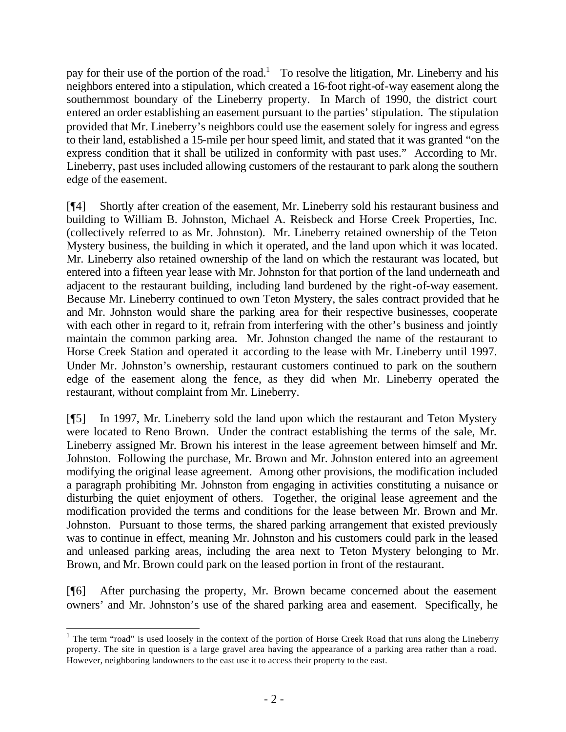pay for their use of the portion of the road.<sup>1</sup> To resolve the litigation, Mr. Lineberry and his neighbors entered into a stipulation, which created a 16-foot right-of-way easement along the southernmost boundary of the Lineberry property. In March of 1990, the district court entered an order establishing an easement pursuant to the parties' stipulation. The stipulation provided that Mr. Lineberry's neighbors could use the easement solely for ingress and egress to their land, established a 15-mile per hour speed limit, and stated that it was granted "on the express condition that it shall be utilized in conformity with past uses." According to Mr. Lineberry, past uses included allowing customers of the restaurant to park along the southern edge of the easement.

[¶4] Shortly after creation of the easement, Mr. Lineberry sold his restaurant business and building to William B. Johnston, Michael A. Reisbeck and Horse Creek Properties, Inc. (collectively referred to as Mr. Johnston). Mr. Lineberry retained ownership of the Teton Mystery business, the building in which it operated, and the land upon which it was located. Mr. Lineberry also retained ownership of the land on which the restaurant was located, but entered into a fifteen year lease with Mr. Johnston for that portion of the land underneath and adjacent to the restaurant building, including land burdened by the right-of-way easement. Because Mr. Lineberry continued to own Teton Mystery, the sales contract provided that he and Mr. Johnston would share the parking area for their respective businesses, cooperate with each other in regard to it, refrain from interfering with the other's business and jointly maintain the common parking area. Mr. Johnston changed the name of the restaurant to Horse Creek Station and operated it according to the lease with Mr. Lineberry until 1997. Under Mr. Johnston's ownership, restaurant customers continued to park on the southern edge of the easement along the fence, as they did when Mr. Lineberry operated the restaurant, without complaint from Mr. Lineberry.

[¶5] In 1997, Mr. Lineberry sold the land upon which the restaurant and Teton Mystery were located to Reno Brown. Under the contract establishing the terms of the sale, Mr. Lineberry assigned Mr. Brown his interest in the lease agreement between himself and Mr. Johnston. Following the purchase, Mr. Brown and Mr. Johnston entered into an agreement modifying the original lease agreement. Among other provisions, the modification included a paragraph prohibiting Mr. Johnston from engaging in activities constituting a nuisance or disturbing the quiet enjoyment of others. Together, the original lease agreement and the modification provided the terms and conditions for the lease between Mr. Brown and Mr. Johnston. Pursuant to those terms, the shared parking arrangement that existed previously was to continue in effect, meaning Mr. Johnston and his customers could park in the leased and unleased parking areas, including the area next to Teton Mystery belonging to Mr. Brown, and Mr. Brown could park on the leased portion in front of the restaurant.

[¶6] After purchasing the property, Mr. Brown became concerned about the easement owners' and Mr. Johnston's use of the shared parking area and easement. Specifically, he

l <sup>1</sup> The term "road" is used loosely in the context of the portion of Horse Creek Road that runs along the Lineberry property. The site in question is a large gravel area having the appearance of a parking area rather than a road. However, neighboring landowners to the east use it to access their property to the east.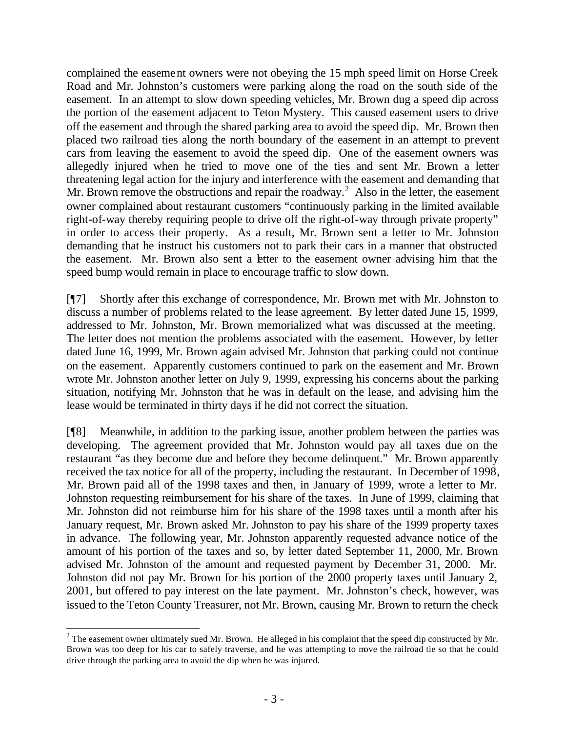complained the easement owners were not obeying the 15 mph speed limit on Horse Creek Road and Mr. Johnston's customers were parking along the road on the south side of the easement. In an attempt to slow down speeding vehicles, Mr. Brown dug a speed dip across the portion of the easement adjacent to Teton Mystery. This caused easement users to drive off the easement and through the shared parking area to avoid the speed dip. Mr. Brown then placed two railroad ties along the north boundary of the easement in an attempt to prevent cars from leaving the easement to avoid the speed dip. One of the easement owners was allegedly injured when he tried to move one of the ties and sent Mr. Brown a letter threatening legal action for the injury and interference with the easement and demanding that Mr. Brown remove the obstructions and repair the roadway.<sup>2</sup> Also in the letter, the easement owner complained about restaurant customers "continuously parking in the limited available right-of-way thereby requiring people to drive off the right-of-way through private property" in order to access their property. As a result, Mr. Brown sent a letter to Mr. Johnston demanding that he instruct his customers not to park their cars in a manner that obstructed the easement. Mr. Brown also sent a letter to the easement owner advising him that the speed bump would remain in place to encourage traffic to slow down.

[¶7] Shortly after this exchange of correspondence, Mr. Brown met with Mr. Johnston to discuss a number of problems related to the lease agreement. By letter dated June 15, 1999, addressed to Mr. Johnston, Mr. Brown memorialized what was discussed at the meeting. The letter does not mention the problems associated with the easement. However, by letter dated June 16, 1999, Mr. Brown again advised Mr. Johnston that parking could not continue on the easement. Apparently customers continued to park on the easement and Mr. Brown wrote Mr. Johnston another letter on July 9, 1999, expressing his concerns about the parking situation, notifying Mr. Johnston that he was in default on the lease, and advising him the lease would be terminated in thirty days if he did not correct the situation.

[¶8] Meanwhile, in addition to the parking issue, another problem between the parties was developing. The agreement provided that Mr. Johnston would pay all taxes due on the restaurant "as they become due and before they become delinquent." Mr. Brown apparently received the tax notice for all of the property, including the restaurant. In December of 1998, Mr. Brown paid all of the 1998 taxes and then, in January of 1999, wrote a letter to Mr. Johnston requesting reimbursement for his share of the taxes. In June of 1999, claiming that Mr. Johnston did not reimburse him for his share of the 1998 taxes until a month after his January request, Mr. Brown asked Mr. Johnston to pay his share of the 1999 property taxes in advance. The following year, Mr. Johnston apparently requested advance notice of the amount of his portion of the taxes and so, by letter dated September 11, 2000, Mr. Brown advised Mr. Johnston of the amount and requested payment by December 31, 2000. Mr. Johnston did not pay Mr. Brown for his portion of the 2000 property taxes until January 2, 2001, but offered to pay interest on the late payment. Mr. Johnston's check, however, was issued to the Teton County Treasurer, not Mr. Brown, causing Mr. Brown to return the check

l <sup>2</sup> The easement owner ultimately sued Mr. Brown. He alleged in his complaint that the speed dip constructed by Mr. Brown was too deep for his car to safely traverse, and he was attempting to move the railroad tie so that he could drive through the parking area to avoid the dip when he was injured.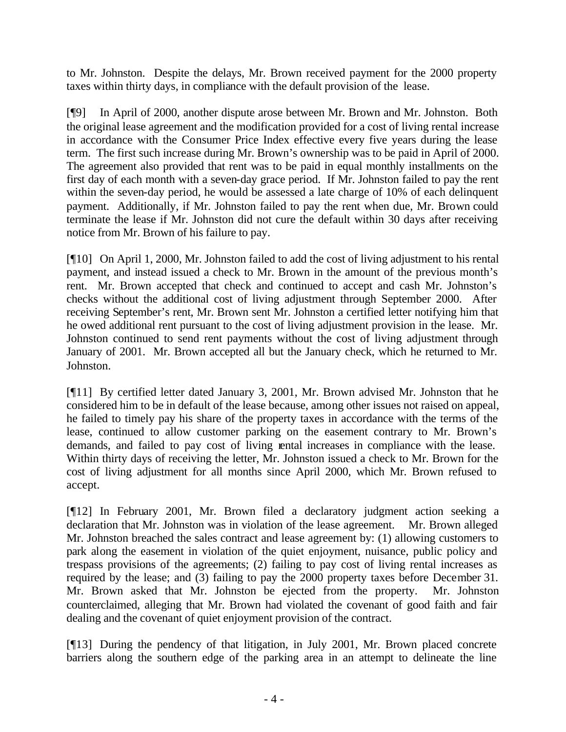to Mr. Johnston. Despite the delays, Mr. Brown received payment for the 2000 property taxes within thirty days, in compliance with the default provision of the lease.

[¶9] In April of 2000, another dispute arose between Mr. Brown and Mr. Johnston. Both the original lease agreement and the modification provided for a cost of living rental increase in accordance with the Consumer Price Index effective every five years during the lease term. The first such increase during Mr. Brown's ownership was to be paid in April of 2000. The agreement also provided that rent was to be paid in equal monthly installments on the first day of each month with a seven-day grace period. If Mr. Johnston failed to pay the rent within the seven-day period, he would be assessed a late charge of 10% of each delinquent payment. Additionally, if Mr. Johnston failed to pay the rent when due, Mr. Brown could terminate the lease if Mr. Johnston did not cure the default within 30 days after receiving notice from Mr. Brown of his failure to pay.

[¶10] On April 1, 2000, Mr. Johnston failed to add the cost of living adjustment to his rental payment, and instead issued a check to Mr. Brown in the amount of the previous month's rent. Mr. Brown accepted that check and continued to accept and cash Mr. Johnston's checks without the additional cost of living adjustment through September 2000. After receiving September's rent, Mr. Brown sent Mr. Johnston a certified letter notifying him that he owed additional rent pursuant to the cost of living adjustment provision in the lease. Mr. Johnston continued to send rent payments without the cost of living adjustment through January of 2001. Mr. Brown accepted all but the January check, which he returned to Mr. Johnston.

[¶11] By certified letter dated January 3, 2001, Mr. Brown advised Mr. Johnston that he considered him to be in default of the lease because, among other issues not raised on appeal, he failed to timely pay his share of the property taxes in accordance with the terms of the lease, continued to allow customer parking on the easement contrary to Mr. Brown's demands, and failed to pay cost of living rental increases in compliance with the lease. Within thirty days of receiving the letter, Mr. Johnston issued a check to Mr. Brown for the cost of living adjustment for all months since April 2000, which Mr. Brown refused to accept.

[¶12] In February 2001, Mr. Brown filed a declaratory judgment action seeking a declaration that Mr. Johnston was in violation of the lease agreement. Mr. Brown alleged Mr. Johnston breached the sales contract and lease agreement by: (1) allowing customers to park along the easement in violation of the quiet enjoyment, nuisance, public policy and trespass provisions of the agreements; (2) failing to pay cost of living rental increases as required by the lease; and (3) failing to pay the 2000 property taxes before December 31. Mr. Brown asked that Mr. Johnston be ejected from the property. Mr. Johnston counterclaimed, alleging that Mr. Brown had violated the covenant of good faith and fair dealing and the covenant of quiet enjoyment provision of the contract.

[¶13] During the pendency of that litigation, in July 2001, Mr. Brown placed concrete barriers along the southern edge of the parking area in an attempt to delineate the line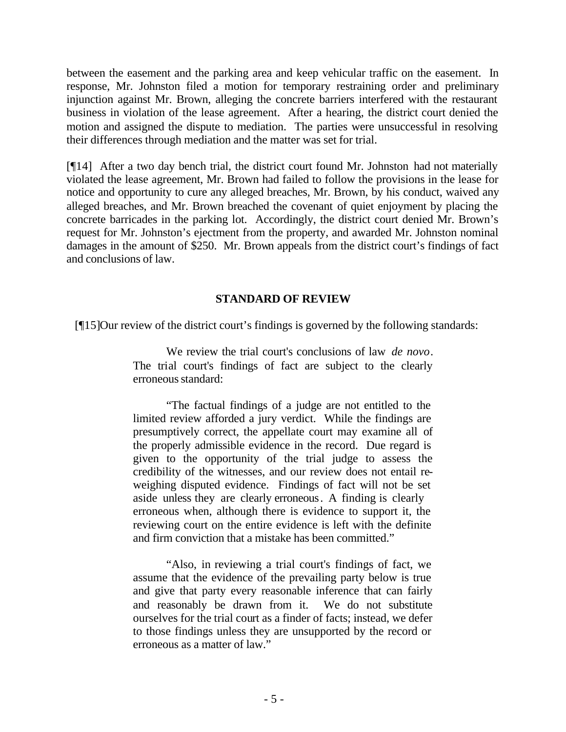between the easement and the parking area and keep vehicular traffic on the easement. In response, Mr. Johnston filed a motion for temporary restraining order and preliminary injunction against Mr. Brown, alleging the concrete barriers interfered with the restaurant business in violation of the lease agreement. After a hearing, the district court denied the motion and assigned the dispute to mediation. The parties were unsuccessful in resolving their differences through mediation and the matter was set for trial.

[¶14] After a two day bench trial, the district court found Mr. Johnston had not materially violated the lease agreement, Mr. Brown had failed to follow the provisions in the lease for notice and opportunity to cure any alleged breaches, Mr. Brown, by his conduct, waived any alleged breaches, and Mr. Brown breached the covenant of quiet enjoyment by placing the concrete barricades in the parking lot. Accordingly, the district court denied Mr. Brown's request for Mr. Johnston's ejectment from the property, and awarded Mr. Johnston nominal damages in the amount of \$250. Mr. Brown appeals from the district court's findings of fact and conclusions of law.

### **STANDARD OF REVIEW**

[¶15]Our review of the district court's findings is governed by the following standards:

We review the trial court's conclusions of law *de novo*. The trial court's findings of fact are subject to the clearly erroneous standard:

"The factual findings of a judge are not entitled to the limited review afforded a jury verdict. While the findings are presumptively correct, the appellate court may examine all of the properly admissible evidence in the record. Due regard is given to the opportunity of the trial judge to assess the credibility of the witnesses, and our review does not entail reweighing disputed evidence. Findings of fact will not be set aside unless they are clearly erroneous. A finding is clearly erroneous when, although there is evidence to support it, the reviewing court on the entire evidence is left with the definite and firm conviction that a mistake has been committed."

"Also, in reviewing a trial court's findings of fact, we assume that the evidence of the prevailing party below is true and give that party every reasonable inference that can fairly and reasonably be drawn from it. We do not substitute ourselves for the trial court as a finder of facts; instead, we defer to those findings unless they are unsupported by the record or erroneous as a matter of law."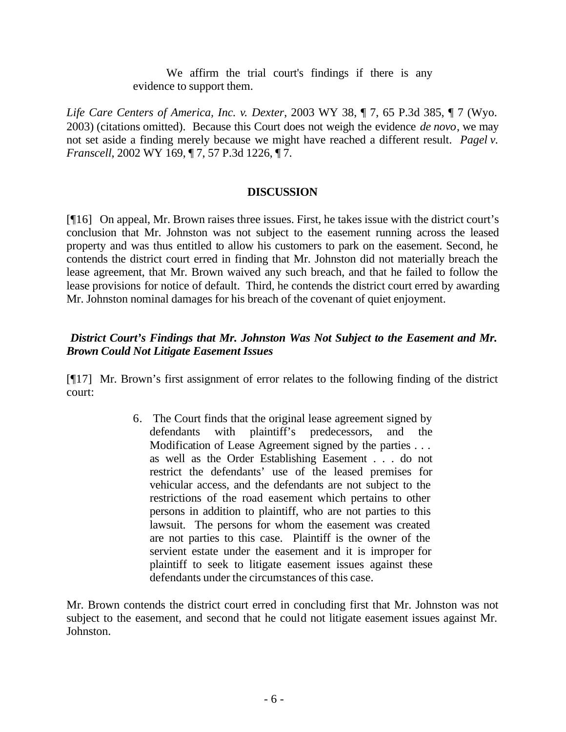We affirm the trial court's findings if there is any evidence to support them.

*Life Care Centers of America, Inc. v. Dexter*, 2003 WY 38, ¶ 7, 65 P.3d 385, ¶ 7 (Wyo. 2003) (citations omitted). Because this Court does not weigh the evidence *de novo*, we may not set aside a finding merely because we might have reached a different result. *Pagel v. Franscell*, 2002 WY 169, ¶ 7, 57 P.3d 1226, ¶ 7.

# **DISCUSSION**

[¶16] On appeal, Mr. Brown raises three issues. First, he takes issue with the district court's conclusion that Mr. Johnston was not subject to the easement running across the leased property and was thus entitled to allow his customers to park on the easement. Second, he contends the district court erred in finding that Mr. Johnston did not materially breach the lease agreement, that Mr. Brown waived any such breach, and that he failed to follow the lease provisions for notice of default. Third, he contends the district court erred by awarding Mr. Johnston nominal damages for his breach of the covenant of quiet enjoyment.

# *District Court's Findings that Mr. Johnston Was Not Subject to the Easement and Mr. Brown Could Not Litigate Easement Issues*

[¶17] Mr. Brown's first assignment of error relates to the following finding of the district court:

> 6. The Court finds that the original lease agreement signed by defendants with plaintiff's predecessors, and the Modification of Lease Agreement signed by the parties . . . as well as the Order Establishing Easement . . . do not restrict the defendants' use of the leased premises for vehicular access, and the defendants are not subject to the restrictions of the road easement which pertains to other persons in addition to plaintiff, who are not parties to this lawsuit. The persons for whom the easement was created are not parties to this case. Plaintiff is the owner of the servient estate under the easement and it is improper for plaintiff to seek to litigate easement issues against these defendants under the circumstances of this case.

Mr. Brown contends the district court erred in concluding first that Mr. Johnston was not subject to the easement, and second that he could not litigate easement issues against Mr. Johnston.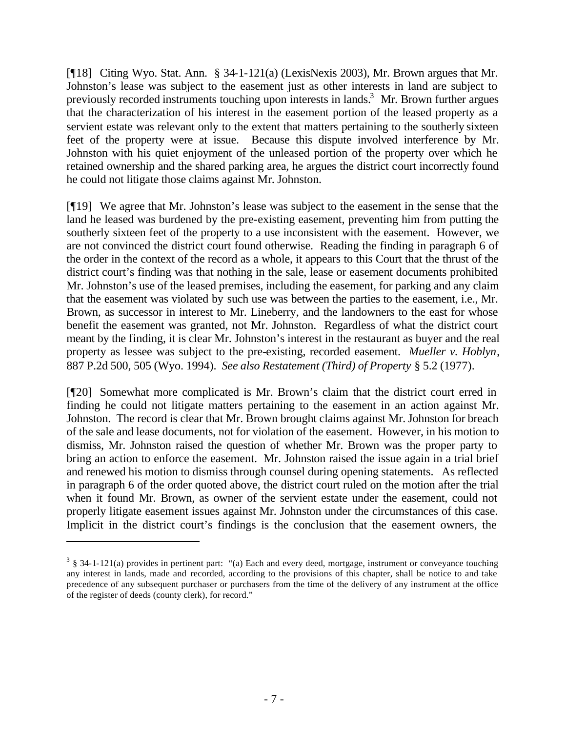[¶18] Citing Wyo. Stat. Ann. § 34-1-121(a) (LexisNexis 2003), Mr. Brown argues that Mr. Johnston's lease was subject to the easement just as other interests in land are subject to previously recorded instruments touching upon interests in lands.<sup>3</sup> Mr. Brown further argues that the characterization of his interest in the easement portion of the leased property as a servient estate was relevant only to the extent that matters pertaining to the southerly sixteen feet of the property were at issue. Because this dispute involved interference by Mr. Johnston with his quiet enjoyment of the unleased portion of the property over which he retained ownership and the shared parking area, he argues the district court incorrectly found he could not litigate those claims against Mr. Johnston.

[¶19] We agree that Mr. Johnston's lease was subject to the easement in the sense that the land he leased was burdened by the pre-existing easement, preventing him from putting the southerly sixteen feet of the property to a use inconsistent with the easement. However, we are not convinced the district court found otherwise. Reading the finding in paragraph 6 of the order in the context of the record as a whole, it appears to this Court that the thrust of the district court's finding was that nothing in the sale, lease or easement documents prohibited Mr. Johnston's use of the leased premises, including the easement, for parking and any claim that the easement was violated by such use was between the parties to the easement, i.e., Mr. Brown, as successor in interest to Mr. Lineberry, and the landowners to the east for whose benefit the easement was granted, not Mr. Johnston. Regardless of what the district court meant by the finding, it is clear Mr. Johnston's interest in the restaurant as buyer and the real property as lessee was subject to the pre-existing, recorded easement. *Mueller v. Hoblyn*, 887 P.2d 500, 505 (Wyo. 1994). *See also Restatement (Third) of Property* § 5.2 (1977).

[¶20] Somewhat more complicated is Mr. Brown's claim that the district court erred in finding he could not litigate matters pertaining to the easement in an action against Mr. Johnston. The record is clear that Mr. Brown brought claims against Mr. Johnston for breach of the sale and lease documents, not for violation of the easement. However, in his motion to dismiss, Mr. Johnston raised the question of whether Mr. Brown was the proper party to bring an action to enforce the easement. Mr. Johnston raised the issue again in a trial brief and renewed his motion to dismiss through counsel during opening statements. As reflected in paragraph 6 of the order quoted above, the district court ruled on the motion after the trial when it found Mr. Brown, as owner of the servient estate under the easement, could not properly litigate easement issues against Mr. Johnston under the circumstances of this case. Implicit in the district court's findings is the conclusion that the easement owners, the

l

 $3 \text{ }\frac{3}{5}$  34-1-121(a) provides in pertinent part: "(a) Each and every deed, mortgage, instrument or conveyance touching any interest in lands, made and recorded, according to the provisions of this chapter, shall be notice to and take precedence of any subsequent purchaser or purchasers from the time of the delivery of any instrument at the office of the register of deeds (county clerk), for record."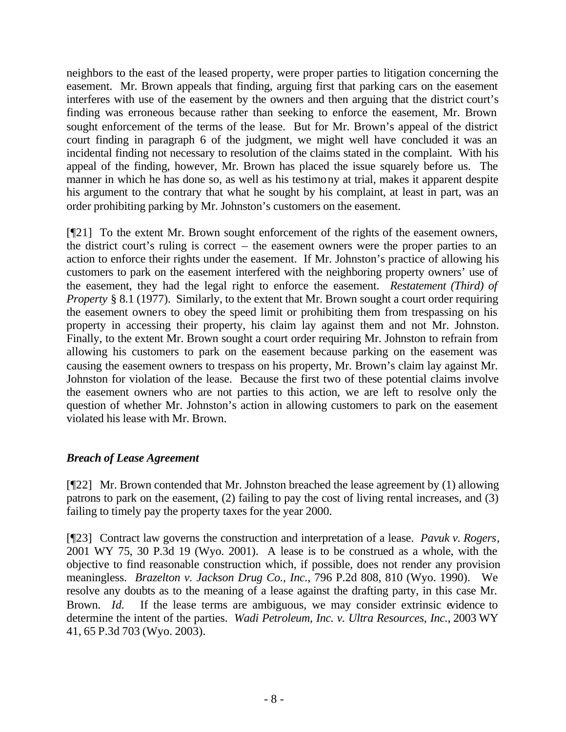neighbors to the east of the leased property, were proper parties to litigation concerning the easement. Mr. Brown appeals that finding, arguing first that parking cars on the easement interferes with use of the easement by the owners and then arguing that the district court's finding was erroneous because rather than seeking to enforce the easement, Mr. Brown sought enforcement of the terms of the lease. But for Mr. Brown's appeal of the district court finding in paragraph 6 of the judgment, we might well have concluded it was an incidental finding not necessary to resolution of the claims stated in the complaint. With his appeal of the finding, however, Mr. Brown has placed the issue squarely before us. The manner in which he has done so, as well as his testimony at trial, makes it apparent despite his argument to the contrary that what he sought by his complaint, at least in part, was an order prohibiting parking by Mr. Johnston's customers on the easement.

[¶21] To the extent Mr. Brown sought enforcement of the rights of the easement owners, the district court's ruling is correct – the easement owners were the proper parties to an action to enforce their rights under the easement. If Mr. Johnston's practice of allowing his customers to park on the easement interfered with the neighboring property owners' use of the easement, they had the legal right to enforce the easement. *Restatement (Third) of Property* § 8.1 (1977). Similarly, to the extent that Mr. Brown sought a court order requiring the easement owners to obey the speed limit or prohibiting them from trespassing on his property in accessing their property, his claim lay against them and not Mr. Johnston. Finally, to the extent Mr. Brown sought a court order requiring Mr. Johnston to refrain from allowing his customers to park on the easement because parking on the easement was causing the easement owners to trespass on his property, Mr. Brown's claim lay against Mr. Johnston for violation of the lease. Because the first two of these potential claims involve the easement owners who are not parties to this action, we are left to resolve only the question of whether Mr. Johnston's action in allowing customers to park on the easement violated his lease with Mr. Brown.

#### *Breach of Lease Agreement*

[¶22] Mr. Brown contended that Mr. Johnston breached the lease agreement by (1) allowing patrons to park on the easement, (2) failing to pay the cost of living rental increases, and (3) failing to timely pay the property taxes for the year 2000.

[¶23] Contract law governs the construction and interpretation of a lease. *Pavuk v. Rogers*, 2001 WY 75, 30 P.3d 19 (Wyo. 2001). A lease is to be construed as a whole, with the objective to find reasonable construction which, if possible, does not render any provision meaningless. *Brazelton v. Jackson Drug Co., Inc.*, 796 P.2d 808, 810 (Wyo. 1990). We resolve any doubts as to the meaning of a lease against the drafting party, in this case Mr. Brown. *Id.* If the lease terms are ambiguous, we may consider extrinsic evidence to determine the intent of the parties. *Wadi Petroleum, Inc. v. Ultra Resources, Inc.*, 2003 WY 41, 65 P.3d 703 (Wyo. 2003).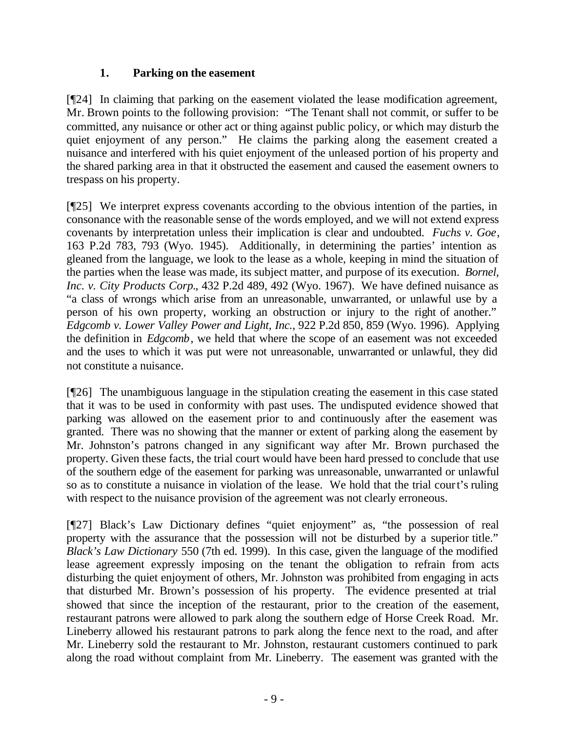# **1. Parking on the easement**

[¶24] In claiming that parking on the easement violated the lease modification agreement, Mr. Brown points to the following provision: "The Tenant shall not commit, or suffer to be committed, any nuisance or other act or thing against public policy, or which may disturb the quiet enjoyment of any person." He claims the parking along the easement created a nuisance and interfered with his quiet enjoyment of the unleased portion of his property and the shared parking area in that it obstructed the easement and caused the easement owners to trespass on his property.

[¶25] We interpret express covenants according to the obvious intention of the parties, in consonance with the reasonable sense of the words employed, and we will not extend express covenants by interpretation unless their implication is clear and undoubted. *Fuchs v. Goe*, 163 P.2d 783, 793 (Wyo. 1945). Additionally, in determining the parties' intention as gleaned from the language, we look to the lease as a whole, keeping in mind the situation of the parties when the lease was made, its subject matter, and purpose of its execution. *Bornel, Inc. v. City Products Corp.*, 432 P.2d 489, 492 (Wyo. 1967). We have defined nuisance as "a class of wrongs which arise from an unreasonable, unwarranted, or unlawful use by a person of his own property, working an obstruction or injury to the right of another." *Edgcomb v. Lower Valley Power and Light, Inc.,* 922 P.2d 850, 859 (Wyo. 1996). Applying the definition in *Edgcomb*, we held that where the scope of an easement was not exceeded and the uses to which it was put were not unreasonable, unwarranted or unlawful, they did not constitute a nuisance.

[¶26] The unambiguous language in the stipulation creating the easement in this case stated that it was to be used in conformity with past uses. The undisputed evidence showed that parking was allowed on the easement prior to and continuously after the easement was granted. There was no showing that the manner or extent of parking along the easement by Mr. Johnston's patrons changed in any significant way after Mr. Brown purchased the property. Given these facts, the trial court would have been hard pressed to conclude that use of the southern edge of the easement for parking was unreasonable, unwarranted or unlawful so as to constitute a nuisance in violation of the lease. We hold that the trial court's ruling with respect to the nuisance provision of the agreement was not clearly erroneous.

[¶27] Black's Law Dictionary defines "quiet enjoyment" as, "the possession of real property with the assurance that the possession will not be disturbed by a superior title." *Black's Law Dictionary* 550 (7th ed. 1999). In this case, given the language of the modified lease agreement expressly imposing on the tenant the obligation to refrain from acts disturbing the quiet enjoyment of others, Mr. Johnston was prohibited from engaging in acts that disturbed Mr. Brown's possession of his property. The evidence presented at trial showed that since the inception of the restaurant, prior to the creation of the easement, restaurant patrons were allowed to park along the southern edge of Horse Creek Road. Mr. Lineberry allowed his restaurant patrons to park along the fence next to the road, and after Mr. Lineberry sold the restaurant to Mr. Johnston, restaurant customers continued to park along the road without complaint from Mr. Lineberry. The easement was granted with the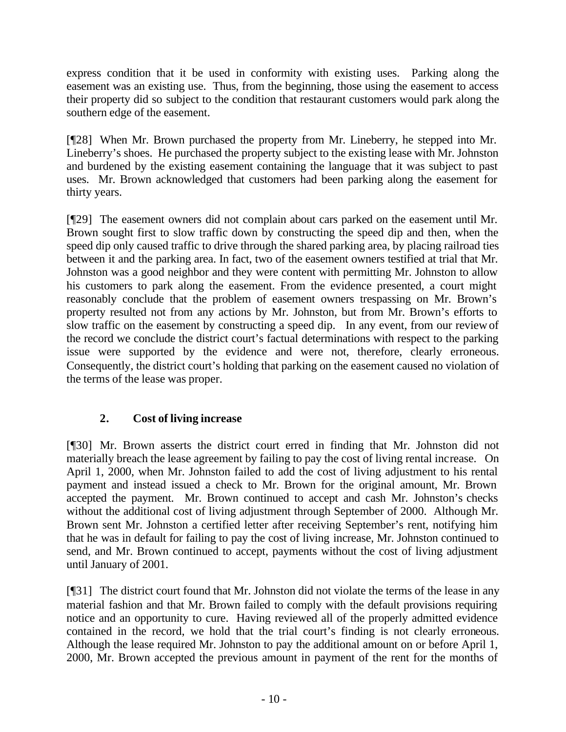express condition that it be used in conformity with existing uses. Parking along the easement was an existing use. Thus, from the beginning, those using the easement to access their property did so subject to the condition that restaurant customers would park along the southern edge of the easement.

[¶28] When Mr. Brown purchased the property from Mr. Lineberry, he stepped into Mr. Lineberry's shoes. He purchased the property subject to the existing lease with Mr. Johnston and burdened by the existing easement containing the language that it was subject to past uses. Mr. Brown acknowledged that customers had been parking along the easement for thirty years.

[¶29] The easement owners did not complain about cars parked on the easement until Mr. Brown sought first to slow traffic down by constructing the speed dip and then, when the speed dip only caused traffic to drive through the shared parking area, by placing railroad ties between it and the parking area. In fact, two of the easement owners testified at trial that Mr. Johnston was a good neighbor and they were content with permitting Mr. Johnston to allow his customers to park along the easement. From the evidence presented, a court might reasonably conclude that the problem of easement owners trespassing on Mr. Brown's property resulted not from any actions by Mr. Johnston, but from Mr. Brown's efforts to slow traffic on the easement by constructing a speed dip. In any event, from our review of the record we conclude the district court's factual determinations with respect to the parking issue were supported by the evidence and were not, therefore, clearly erroneous. Consequently, the district court's holding that parking on the easement caused no violation of the terms of the lease was proper.

# **2. Cost of living increase**

[¶30] Mr. Brown asserts the district court erred in finding that Mr. Johnston did not materially breach the lease agreement by failing to pay the cost of living rental increase. On April 1, 2000, when Mr. Johnston failed to add the cost of living adjustment to his rental payment and instead issued a check to Mr. Brown for the original amount, Mr. Brown accepted the payment. Mr. Brown continued to accept and cash Mr. Johnston's checks without the additional cost of living adjustment through September of 2000. Although Mr. Brown sent Mr. Johnston a certified letter after receiving September's rent, notifying him that he was in default for failing to pay the cost of living increase, Mr. Johnston continued to send, and Mr. Brown continued to accept, payments without the cost of living adjustment until January of 2001.

[¶31] The district court found that Mr. Johnston did not violate the terms of the lease in any material fashion and that Mr. Brown failed to comply with the default provisions requiring notice and an opportunity to cure. Having reviewed all of the properly admitted evidence contained in the record, we hold that the trial court's finding is not clearly erroneous. Although the lease required Mr. Johnston to pay the additional amount on or before April 1, 2000, Mr. Brown accepted the previous amount in payment of the rent for the months of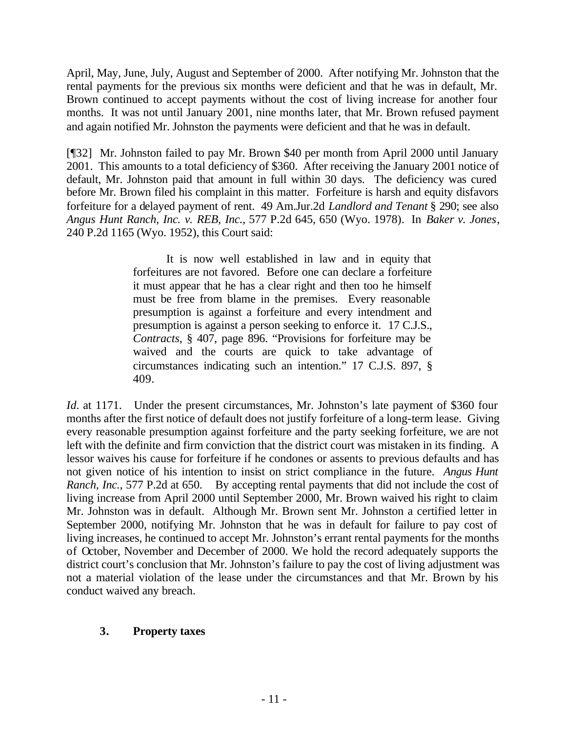April, May, June, July, August and September of 2000. After notifying Mr. Johnston that the rental payments for the previous six months were deficient and that he was in default, Mr. Brown continued to accept payments without the cost of living increase for another four months. It was not until January 2001, nine months later, that Mr. Brown refused payment and again notified Mr. Johnston the payments were deficient and that he was in default.

[¶32] Mr. Johnston failed to pay Mr. Brown \$40 per month from April 2000 until January 2001. This amounts to a total deficiency of \$360. After receiving the January 2001 notice of default, Mr. Johnston paid that amount in full within 30 days. The deficiency was cured before Mr. Brown filed his complaint in this matter. Forfeiture is harsh and equity disfavors forfeiture for a delayed payment of rent. 49 Am.Jur.2d *Landlord and Tenant* § 290; see also *Angus Hunt Ranch, Inc. v. REB, Inc.*, 577 P.2d 645, 650 (Wyo. 1978). In *Baker v. Jones*, 240 P.2d 1165 (Wyo. 1952), this Court said:

> It is now well established in law and in equity that forfeitures are not favored. Before one can declare a forfeiture it must appear that he has a clear right and then too he himself must be free from blame in the premises. Every reasonable presumption is against a forfeiture and every intendment and presumption is against a person seeking to enforce it. 17 C.J.S., *Contracts*, § 407, page 896. "Provisions for forfeiture may be waived and the courts are quick to take advantage of circumstances indicating such an intention." 17 C.J.S. 897, § 409.

*Id.* at 1171. Under the present circumstances, Mr. Johnston's late payment of \$360 four months after the first notice of default does not justify forfeiture of a long-term lease. Giving every reasonable presumption against forfeiture and the party seeking forfeiture, we are not left with the definite and firm conviction that the district court was mistaken in its finding. A lessor waives his cause for forfeiture if he condones or assents to previous defaults and has not given notice of his intention to insist on strict compliance in the future. *Angus Hunt Ranch, Inc.*, 577 P.2d at 650. By accepting rental payments that did not include the cost of living increase from April 2000 until September 2000, Mr. Brown waived his right to claim Mr. Johnston was in default. Although Mr. Brown sent Mr. Johnston a certified letter in September 2000, notifying Mr. Johnston that he was in default for failure to pay cost of living increases, he continued to accept Mr. Johnston's errant rental payments for the months of October, November and December of 2000. We hold the record adequately supports the district court's conclusion that Mr. Johnston's failure to pay the cost of living adjustment was not a material violation of the lease under the circumstances and that Mr. Brown by his conduct waived any breach.

#### **3. Property taxes**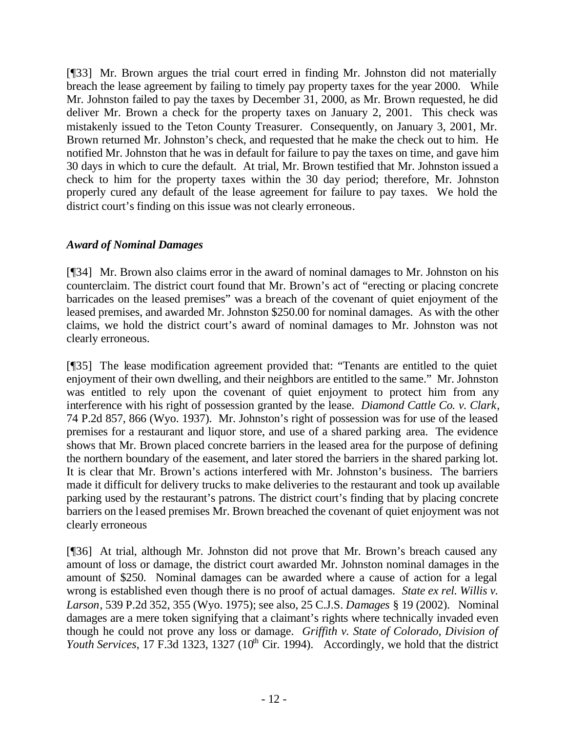[¶33] Mr. Brown argues the trial court erred in finding Mr. Johnston did not materially breach the lease agreement by failing to timely pay property taxes for the year 2000. While Mr. Johnston failed to pay the taxes by December 31, 2000, as Mr. Brown requested, he did deliver Mr. Brown a check for the property taxes on January 2, 2001. This check was mistakenly issued to the Teton County Treasurer. Consequently, on January 3, 2001, Mr. Brown returned Mr. Johnston's check, and requested that he make the check out to him. He notified Mr. Johnston that he was in default for failure to pay the taxes on time, and gave him 30 days in which to cure the default. At trial, Mr. Brown testified that Mr. Johnston issued a check to him for the property taxes within the 30 day period; therefore, Mr. Johnston properly cured any default of the lease agreement for failure to pay taxes. We hold the district court's finding on this issue was not clearly erroneous.

# *Award of Nominal Damages*

[¶34] Mr. Brown also claims error in the award of nominal damages to Mr. Johnston on his counterclaim. The district court found that Mr. Brown's act of "erecting or placing concrete barricades on the leased premises" was a breach of the covenant of quiet enjoyment of the leased premises, and awarded Mr. Johnston \$250.00 for nominal damages. As with the other claims, we hold the district court's award of nominal damages to Mr. Johnston was not clearly erroneous.

[¶35] The lease modification agreement provided that: "Tenants are entitled to the quiet enjoyment of their own dwelling, and their neighbors are entitled to the same." Mr. Johnston was entitled to rely upon the covenant of quiet enjoyment to protect him from any interference with his right of possession granted by the lease. *Diamond Cattle Co. v. Clark*, 74 P.2d 857, 866 (Wyo. 1937). Mr. Johnston's right of possession was for use of the leased premises for a restaurant and liquor store, and use of a shared parking area. The evidence shows that Mr. Brown placed concrete barriers in the leased area for the purpose of defining the northern boundary of the easement, and later stored the barriers in the shared parking lot. It is clear that Mr. Brown's actions interfered with Mr. Johnston's business. The barriers made it difficult for delivery trucks to make deliveries to the restaurant and took up available parking used by the restaurant's patrons. The district court's finding that by placing concrete barriers on the l eased premises Mr. Brown breached the covenant of quiet enjoyment was not clearly erroneous

[¶36] At trial, although Mr. Johnston did not prove that Mr. Brown's breach caused any amount of loss or damage, the district court awarded Mr. Johnston nominal damages in the amount of \$250. Nominal damages can be awarded where a cause of action for a legal wrong is established even though there is no proof of actual damages. *State ex rel. Willis v. Larson*, 539 P.2d 352, 355 (Wyo. 1975); see also, 25 C.J.S. *Damages* § 19 (2002). Nominal damages are a mere token signifying that a claimant's rights where technically invaded even though he could not prove any loss or damage. *Griffith v. State of Colorado, Division of Youth Services*, 17 F.3d 1323, 1327 (10<sup>th</sup> Cir. 1994). Accordingly, we hold that the district